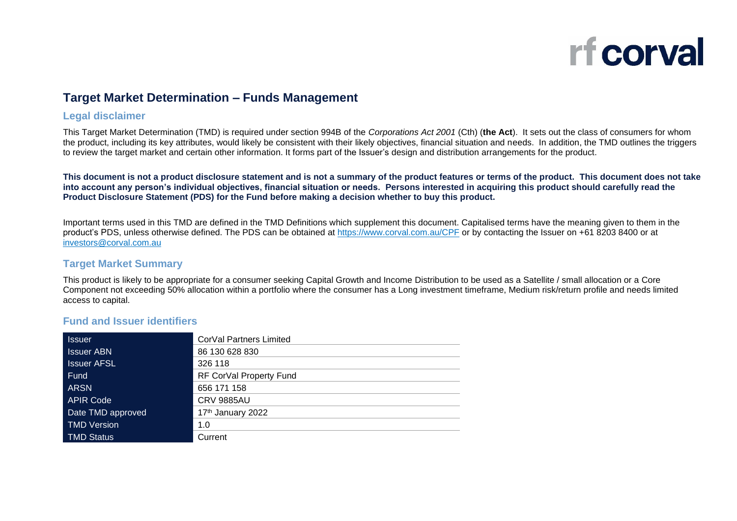

## **Target Market Determination – Funds Management**

## **Legal disclaimer**

This Target Market Determination (TMD) is required under section 994B of the *Corporations Act 2001* (Cth) (**the Act**). It sets out the class of consumers for whom the product, including its key attributes, would likely be consistent with their likely objectives, financial situation and needs. In addition, the TMD outlines the triggers to review the target market and certain other information. It forms part of the Issuer's design and distribution arrangements for the product.

**This document is not a product disclosure statement and is not a summary of the product features or terms of the product. This document does not take into account any person's individual objectives, financial situation or needs. Persons interested in acquiring this product should carefully read the Product Disclosure Statement (PDS) for the Fund before making a decision whether to buy this product.** 

Important terms used in this TMD are defined in the TMD Definitions which supplement this document. Capitalised terms have the meaning given to them in the product's PDS, unless otherwise defined. The PDS can be obtained at<https://www.corval.com.au/CPF> or by contacting the Issuer on +61 8203 8400 or at [investors@corval.com.au](mailto:investors@corval.com.au)

## **Target Market Summary**

This product is likely to be appropriate for a consumer seeking Capital Growth and Income Distribution to be used as a Satellite / small allocation or a Core Component not exceeding 50% allocation within a portfolio where the consumer has a Long investment timeframe, Medium risk/return profile and needs limited access to capital.

## **Fund and Issuer identifiers**

| <b>Issuer</b>      | CorVal Partners Limited |
|--------------------|-------------------------|
| <b>Issuer ABN</b>  | 86 130 628 830          |
| <b>Issuer AFSL</b> | 326 118                 |
| Fund               | RF CorVal Property Fund |
| <b>ARSN</b>        | 656 171 158             |
| <b>APIR Code</b>   | <b>CRV 9885AU</b>       |
| Date TMD approved  | 17th January 2022       |
| <b>TMD Version</b> | 1.0                     |
| <b>TMD Status</b>  | Current                 |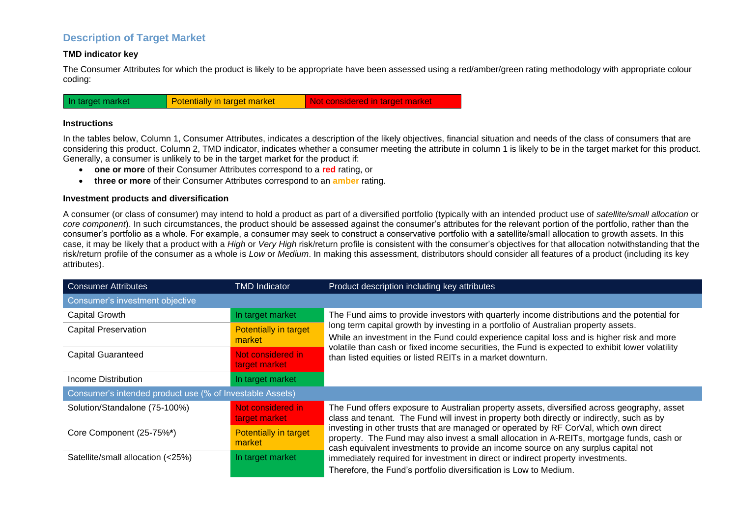## **Description of Target Market**

#### **TMD indicator key**

The Consumer Attributes for which the product is likely to be appropriate have been assessed using a red/amber/green rating methodology with appropriate colour coding:



#### **Instructions**

In the tables below, Column 1, Consumer Attributes, indicates a description of the likely objectives, financial situation and needs of the class of consumers that are considering this product. Column 2, TMD indicator, indicates whether a consumer meeting the attribute in column 1 is likely to be in the target market for this product. Generally, a consumer is unlikely to be in the target market for the product if:

- **one or more** of their Consumer Attributes correspond to a **red** rating, or
- **three or more** of their Consumer Attributes correspond to an **amber** rating.

#### **Investment products and diversification**

A consumer (or class of consumer) may intend to hold a product as part of a diversified portfolio (typically with an intended product use of *satellite/small allocation* or *core component*). In such circumstances, the product should be assessed against the consumer's attributes for the relevant portion of the portfolio, rather than the consumer's portfolio as a whole. For example, a consumer may seek to construct a conservative portfolio with a satellite/small allocation to growth assets. In this case, it may be likely that a product with a *High* or *Very High* risk/return profile is consistent with the consumer's objectives for that allocation notwithstanding that the risk/return profile of the consumer as a whole is *Low* or *Medium*. In making this assessment, distributors should consider all features of a product (including its key attributes).

| <b>Consumer Attributes</b>                               | <b>TMD Indicator</b>                   | Product description including key attributes                                                                                                                                                                                                                                        |
|----------------------------------------------------------|----------------------------------------|-------------------------------------------------------------------------------------------------------------------------------------------------------------------------------------------------------------------------------------------------------------------------------------|
| Consumer's investment objective                          |                                        |                                                                                                                                                                                                                                                                                     |
| Capital Growth                                           | In target market                       | The Fund aims to provide investors with quarterly income distributions and the potential for                                                                                                                                                                                        |
| <b>Capital Preservation</b>                              | <b>Potentially in target</b><br>market | long term capital growth by investing in a portfolio of Australian property assets.<br>While an investment in the Fund could experience capital loss and is higher risk and more<br>volatile than cash or fixed income securities, the Fund is expected to exhibit lower volatility |
| <b>Capital Guaranteed</b>                                | Not considered in<br>target market     | than listed equities or listed REITs in a market downturn.                                                                                                                                                                                                                          |
| Income Distribution                                      | In target market                       |                                                                                                                                                                                                                                                                                     |
| Consumer's intended product use (% of Investable Assets) |                                        |                                                                                                                                                                                                                                                                                     |
| Solution/Standalone (75-100%)                            | Not considered in<br>target market     | The Fund offers exposure to Australian property assets, diversified across geography, asset<br>class and tenant. The Fund will invest in property both directly or indirectly, such as by                                                                                           |
| Core Component (25-75%*)                                 | Potentially in target<br>market        | investing in other trusts that are managed or operated by RF CorVal, which own direct<br>property. The Fund may also invest a small allocation in A-REITs, mortgage funds, cash or<br>cash equivalent investments to provide an income source on any surplus capital not            |
| Satellite/small allocation (<25%)                        | In target market                       | immediately required for investment in direct or indirect property investments.<br>Therefore, the Fund's portfolio diversification is Low to Medium.                                                                                                                                |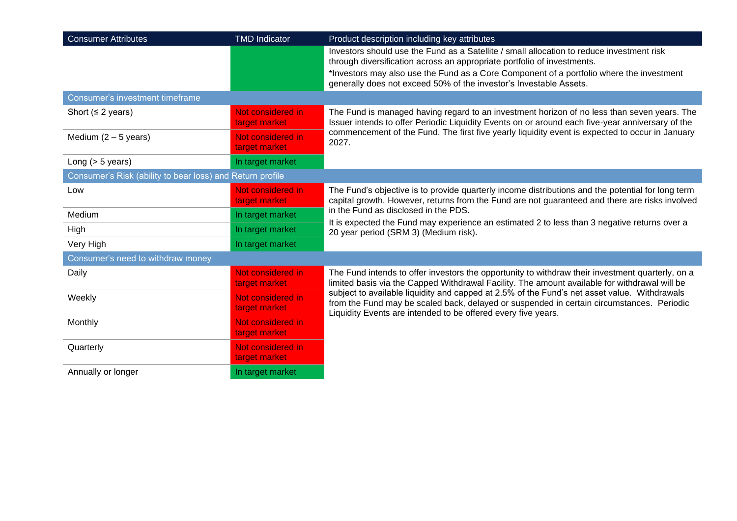| <b>Consumer Attributes</b>                                | <b>TMD Indicator</b>               | Product description including key attributes                                                                                                                                                                                                               |
|-----------------------------------------------------------|------------------------------------|------------------------------------------------------------------------------------------------------------------------------------------------------------------------------------------------------------------------------------------------------------|
|                                                           |                                    | Investors should use the Fund as a Satellite / small allocation to reduce investment risk<br>through diversification across an appropriate portfolio of investments.                                                                                       |
|                                                           |                                    | *Investors may also use the Fund as a Core Component of a portfolio where the investment<br>generally does not exceed 50% of the investor's Investable Assets.                                                                                             |
| Consumer's investment timeframe                           |                                    |                                                                                                                                                                                                                                                            |
| Short ( $\leq$ 2 years)                                   | Not considered in<br>target market | The Fund is managed having regard to an investment horizon of no less than seven years. The<br>Issuer intends to offer Periodic Liquidity Events on or around each five-year anniversary of the                                                            |
| Medium $(2 - 5$ years)                                    | Not considered in<br>target market | commencement of the Fund. The first five yearly liquidity event is expected to occur in January<br>2027.                                                                                                                                                   |
| Long $(> 5$ years)                                        | In target market                   |                                                                                                                                                                                                                                                            |
| Consumer's Risk (ability to bear loss) and Return profile |                                    |                                                                                                                                                                                                                                                            |
| Low                                                       | Not considered in<br>target market | The Fund's objective is to provide quarterly income distributions and the potential for long term<br>capital growth. However, returns from the Fund are not guaranteed and there are risks involved                                                        |
| Medium                                                    | In target market                   | in the Fund as disclosed in the PDS.<br>It is expected the Fund may experience an estimated 2 to less than 3 negative returns over a                                                                                                                       |
| High                                                      | In target market                   | 20 year period (SRM 3) (Medium risk).                                                                                                                                                                                                                      |
| Very High                                                 | In target market                   |                                                                                                                                                                                                                                                            |
| Consumer's need to withdraw money                         |                                    |                                                                                                                                                                                                                                                            |
| Daily                                                     | Not considered in<br>target market | The Fund intends to offer investors the opportunity to withdraw their investment quarterly, on a<br>limited basis via the Capped Withdrawal Facility. The amount available for withdrawal will be                                                          |
| Weekly                                                    | Not considered in<br>target market | subject to available liquidity and capped at 2.5% of the Fund's net asset value. Withdrawals<br>from the Fund may be scaled back, delayed or suspended in certain circumstances. Periodic<br>Liquidity Events are intended to be offered every five years. |
| Monthly                                                   | Not considered in<br>target market |                                                                                                                                                                                                                                                            |
| Quarterly                                                 | Not considered in<br>target market |                                                                                                                                                                                                                                                            |
| Annually or longer                                        | In target market                   |                                                                                                                                                                                                                                                            |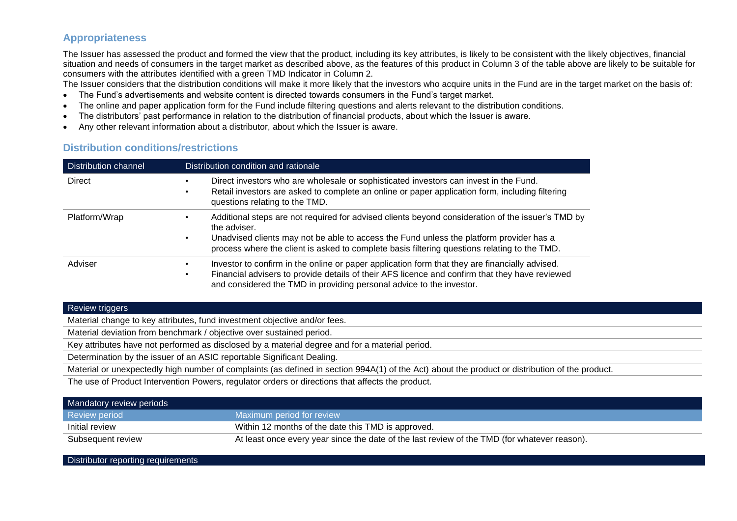## **Appropriateness**

The Issuer has assessed the product and formed the view that the product, including its key attributes, is likely to be consistent with the likely objectives, financial situation and needs of consumers in the target market as described above, as the features of this product in Column 3 of the table above are likely to be suitable for consumers with the attributes identified with a green TMD Indicator in Column 2.

The Issuer considers that the distribution conditions will make it more likely that the investors who acquire units in the Fund are in the target market on the basis of:

- The Fund's advertisements and website content is directed towards consumers in the Fund's target market.
- The online and paper application form for the Fund include filtering questions and alerts relevant to the distribution conditions.
- The distributors' past performance in relation to the distribution of financial products, about which the Issuer is aware.
- Any other relevant information about a distributor, about which the Issuer is aware.

# **Distribution conditions/restrictions** Distribution channel Distribution condition and rationale

| Distribution channel | Distribution condition and rationale                                                                                                                                                                                                                                                                         |
|----------------------|--------------------------------------------------------------------------------------------------------------------------------------------------------------------------------------------------------------------------------------------------------------------------------------------------------------|
| Direct               | Direct investors who are wholesale or sophisticated investors can invest in the Fund.<br>Retail investors are asked to complete an online or paper application form, including filtering<br>questions relating to the TMD.                                                                                   |
| Platform/Wrap        | Additional steps are not required for advised clients beyond consideration of the issuer's TMD by<br>the adviser.<br>Unadvised clients may not be able to access the Fund unless the platform provider has a<br>process where the client is asked to complete basis filtering questions relating to the TMD. |
| Adviser              | Investor to confirm in the online or paper application form that they are financially advised.<br>Financial advisers to provide details of their AFS licence and confirm that they have reviewed<br>and considered the TMD in providing personal advice to the investor.                                     |

#### Review triggers

Material change to key attributes, fund investment objective and/or fees.

Material deviation from benchmark / objective over sustained period.

Key attributes have not performed as disclosed by a material degree and for a material period.

Determination by the issuer of an ASIC reportable Significant Dealing.

Material or unexpectedly high number of complaints (as defined in section 994A(1) of the Act) about the product or distribution of the product.

The use of Product Intervention Powers, regulator orders or directions that affects the product.

| Mandatory review periods |                                                                                              |
|--------------------------|----------------------------------------------------------------------------------------------|
| Review period            | Maximum period for review                                                                    |
| Initial review           | Within 12 months of the date this TMD is approved.                                           |
| Subsequent review        | At least once every year since the date of the last review of the TMD (for whatever reason). |

Distributor reporting requirements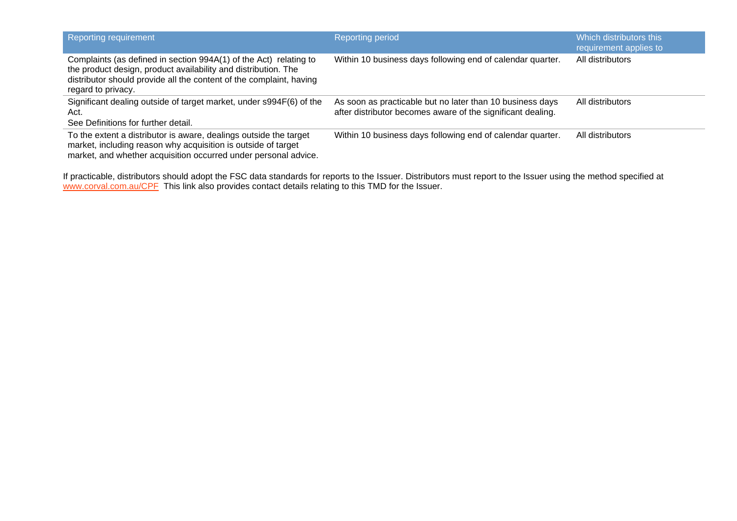| Reporting requirement                                                                                                                                                                                                            | <b>Reporting period</b>                                                                                                  | Which distributors this<br>requirement applies to |
|----------------------------------------------------------------------------------------------------------------------------------------------------------------------------------------------------------------------------------|--------------------------------------------------------------------------------------------------------------------------|---------------------------------------------------|
| Complaints (as defined in section 994A(1) of the Act) relating to<br>the product design, product availability and distribution. The<br>distributor should provide all the content of the complaint, having<br>regard to privacy. | Within 10 business days following end of calendar quarter.                                                               | All distributors                                  |
| Significant dealing outside of target market, under s994F(6) of the<br>Act.<br>See Definitions for further detail.                                                                                                               | As soon as practicable but no later than 10 business days<br>after distributor becomes aware of the significant dealing. | All distributors                                  |
| To the extent a distributor is aware, dealings outside the target<br>market, including reason why acquisition is outside of target<br>market, and whether acquisition occurred under personal advice.                            | Within 10 business days following end of calendar quarter.                                                               | All distributors                                  |

If practicable, distributors should adopt the FSC data standards for reports to the Issuer. Distributors must report to the Issuer using the method specified at [www.corval.com.au/CPF](http://www.corval.com.au/CPF) This link also provides contact details relating to this TMD for the Issuer.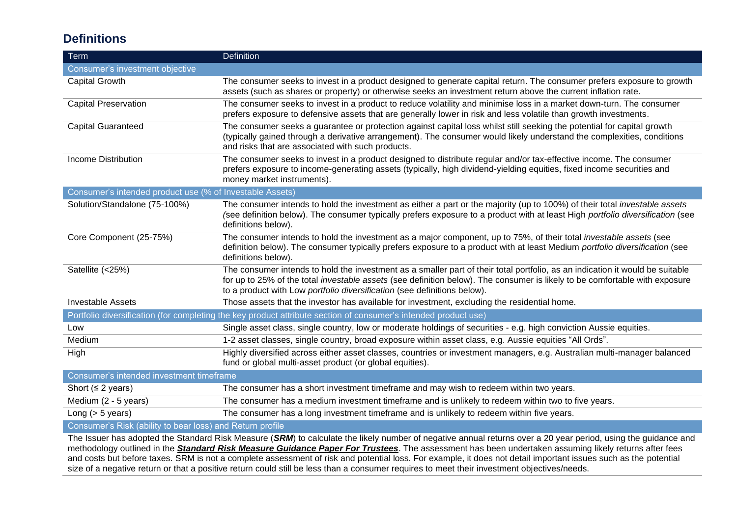# **Definitions**

| Term                                                     | <b>Definition</b>                                                                                                                                                                                                                                                                                                                               |
|----------------------------------------------------------|-------------------------------------------------------------------------------------------------------------------------------------------------------------------------------------------------------------------------------------------------------------------------------------------------------------------------------------------------|
| Consumer's investment objective                          |                                                                                                                                                                                                                                                                                                                                                 |
| <b>Capital Growth</b>                                    | The consumer seeks to invest in a product designed to generate capital return. The consumer prefers exposure to growth<br>assets (such as shares or property) or otherwise seeks an investment return above the current inflation rate.                                                                                                         |
| <b>Capital Preservation</b>                              | The consumer seeks to invest in a product to reduce volatility and minimise loss in a market down-turn. The consumer<br>prefers exposure to defensive assets that are generally lower in risk and less volatile than growth investments.                                                                                                        |
| <b>Capital Guaranteed</b>                                | The consumer seeks a guarantee or protection against capital loss whilst still seeking the potential for capital growth<br>(typically gained through a derivative arrangement). The consumer would likely understand the complexities, conditions<br>and risks that are associated with such products.                                          |
| <b>Income Distribution</b>                               | The consumer seeks to invest in a product designed to distribute regular and/or tax-effective income. The consumer<br>prefers exposure to income-generating assets (typically, high dividend-yielding equities, fixed income securities and<br>money market instruments).                                                                       |
| Consumer's intended product use (% of Investable Assets) |                                                                                                                                                                                                                                                                                                                                                 |
| Solution/Standalone (75-100%)                            | The consumer intends to hold the investment as either a part or the majority (up to 100%) of their total investable assets<br>(see definition below). The consumer typically prefers exposure to a product with at least High portfolio diversification (see<br>definitions below).                                                             |
| Core Component (25-75%)                                  | The consumer intends to hold the investment as a major component, up to 75%, of their total investable assets (see<br>definition below). The consumer typically prefers exposure to a product with at least Medium portfolio diversification (see<br>definitions below).                                                                        |
| Satellite (<25%)                                         | The consumer intends to hold the investment as a smaller part of their total portfolio, as an indication it would be suitable<br>for up to 25% of the total <i>investable assets</i> (see definition below). The consumer is likely to be comfortable with exposure<br>to a product with Low portfolio diversification (see definitions below). |
| <b>Investable Assets</b>                                 | Those assets that the investor has available for investment, excluding the residential home.                                                                                                                                                                                                                                                    |
|                                                          | Portfolio diversification (for completing the key product attribute section of consumer's intended product use)                                                                                                                                                                                                                                 |
| Low                                                      | Single asset class, single country, low or moderate holdings of securities - e.g. high conviction Aussie equities.                                                                                                                                                                                                                              |
| Medium                                                   | 1-2 asset classes, single country, broad exposure within asset class, e.g. Aussie equities "All Ords".                                                                                                                                                                                                                                          |
| High                                                     | Highly diversified across either asset classes, countries or investment managers, e.g. Australian multi-manager balanced<br>fund or global multi-asset product (or global equities).                                                                                                                                                            |
| Consumer's intended investment timeframe                 |                                                                                                                                                                                                                                                                                                                                                 |
| Short ( $\leq$ 2 years)                                  | The consumer has a short investment timeframe and may wish to redeem within two years.                                                                                                                                                                                                                                                          |
| Medium (2 - 5 years)                                     | The consumer has a medium investment timeframe and is unlikely to redeem within two to five years.                                                                                                                                                                                                                                              |
| Long $(> 5$ years)                                       | The consumer has a long investment timeframe and is unlikely to redeem within five years.                                                                                                                                                                                                                                                       |

#### **Consumer's Risk (ability to bear loss) and Return profile**

The Issuer has adopted the Standard Risk Measure (SRM) to calculate the likely number of negative annual returns over a 20 year period, using the guidance and methodology outlined in the **[Standard Risk Measure Guidance Paper For Trustees](https://protect-eu.mimecast.com/s/pqPaCwVNmtGRQpvMFVpVgu?domain=urldefense.com)**. The assessment has been undertaken assuming likely returns after fees and costs but before taxes. SRM is not a complete assessment of risk and potential loss. For example, it does not detail important issues such as the potential size of a negative return or that a positive return could still be less than a consumer requires to meet their investment objectives/needs.